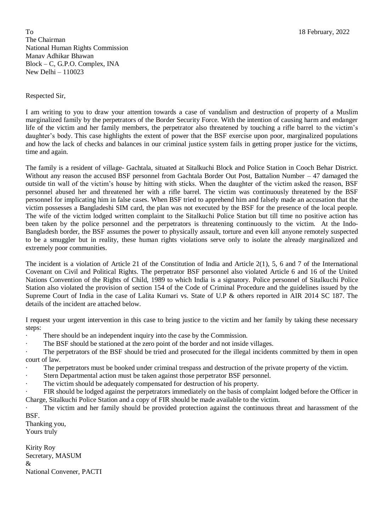To 18 February, 2022 The Chairman National Human Rights Commission Manav Adhikar Bhawan Block – C, G.P.O. Complex, INA New Delhi – 110023

## Respected Sir,

I am writing to you to draw your attention towards a case of vandalism and destruction of property of a Muslim marginalized family by the perpetrators of the Border Security Force. With the intention of causing harm and endanger life of the victim and her family members, the perpetrator also threatened by touching a rifle barrel to the victim's daughter's body. This case highlights the extent of power that the BSF exercise upon poor, marginalized populations and how the lack of checks and balances in our criminal justice system fails in getting proper justice for the victims, time and again.

The family is a resident of village- Gachtala, situated at Sitalkuchi Block and Police Station in Cooch Behar District. Without any reason the accused BSF personnel from Gachtala Border Out Post, Battalion Number – 47 damaged the outside tin wall of the victim's house by hitting with sticks. When the daughter of the victim asked the reason, BSF personnel abused her and threatened her with a rifle barrel. The victim was continuously threatened by the BSF personnel for implicating him in false cases. When BSF tried to apprehend him and falsely made an accusation that the victim possesses a Bangladeshi SIM card, the plan was not executed by the BSF for the presence of the local people. The wife of the victim lodged written complaint to the Sitalkuchi Police Station but till time no positive action has been taken by the police personnel and the perpetrators is threatening continuously to the victim. At the Indo-Bangladesh border, the BSF assumes the power to physically assault, torture and even kill anyone remotely suspected to be a smuggler but in reality, these human rights violations serve only to isolate the already marginalized and extremely poor communities.

The incident is a violation of Article 21 of the Constitution of India and Article 2(1), 5, 6 and 7 of the International Covenant on Civil and Political Rights. The perpetrator BSF personnel also violated Article 6 and 16 of the United Nations Convention of the Rights of Child, 1989 to which India is a signatory. Police personnel of Sitalkuchi Police Station also violated the provision of section 154 of the Code of Criminal Procedure and the guidelines issued by the Supreme Court of India in the case of Lalita Kumari vs. State of U.P & others reported in AIR 2014 SC 187. The details of the incident are attached below.

I request your urgent intervention in this case to bring justice to the victim and her family by taking these necessary steps:

There should be an independent inquiry into the case by the Commission.

The BSF should be stationed at the zero point of the border and not inside villages.

The perpetrators of the BSF should be tried and prosecuted for the illegal incidents committed by them in open court of law.

- The perpetrators must be booked under criminal trespass and destruction of the private property of the victim.
- Stern Departmental action must be taken against those perpetrator BSF personnel.

· The victim should be adequately compensated for destruction of his property.

· FIR should be lodged against the perpetrators immediately on the basis of complaint lodged before the Officer in Charge, Sitalkuchi Police Station and a copy of FIR should be made available to the victim.

The victim and her family should be provided protection against the continuous threat and harassment of the BSF.

Thanking you, Yours truly

Kirity Roy Secretary, MASUM & National Convener, PACTI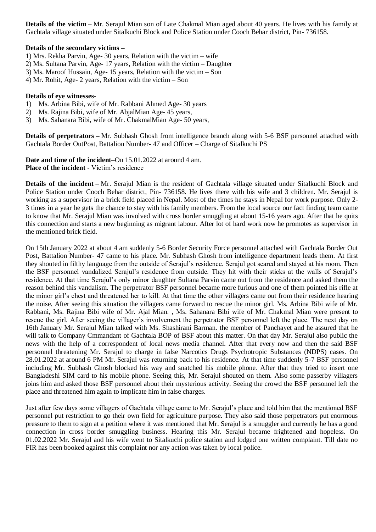**Details of the victim** – Mr. Serajul Mian son of Late Chakmal Mian aged about 40 years. He lives with his family at Gachtala village situated under Sitalkuchi Block and Police Station under Cooch Behar district, Pin- 736158.

## **Details of the secondary victims –**

- 1) Mrs. Rekha Parvin, Age- 30 years, Relation with the victim wife
- 2) Ms. Sultana Parvin, Age- 17 years, Relation with the victim Daughter
- 3) Ms. Maroof Hussain, Age- 15 years, Relation with the victim Son
- 4) Mr. Rohit, Age- 2 years, Relation with the victim Son

## **Details of eye witnesses-**

- 1) Ms. Arbina Bibi, wife of Mr. Rabbani Ahmed Age- 30 years
- 2) Ms. Rajina Bibi, wife of Mr. AbjalMian Age- 45 years,
- 3) Ms. Sahanara Bibi, wife of Mr. ChakmalMian Age- 50 years,

**Details of perpetrators –** Mr. Subhash Ghosh from intelligence branch along with 5-6 BSF personnel attached with Gachtala Border OutPost, Battalion Number- 47 and Officer – Charge of Sitalkuchi PS

**Date and time of the incident**–On 15.01.2022 at around 4 am. **Place of the incident** - Victim's residence

**Details of the incident –** Mr. Serajul Mian is the resident of Gachtala village situated under Sitalkuchi Block and Police Station under Cooch Behar district, Pin- 736158. He lives there with his wife and 3 children. Mr. Serajul is working as a supervisor in a brick field placed in Nepal. Most of the times he stays in Nepal for work purpose. Only 2- 3 times in a year he gets the chance to stay with his family members. From the local source our fact finding team came to know that Mr. Serajul Mian was involved with cross border smuggling at about 15-16 years ago. After that he quits this connection and starts a new beginning as migrant labour. After lot of hard work now he promotes as supervisor in the mentioned brick field.

On 15th January 2022 at about 4 am suddenly 5-6 Border Security Force personnel attached with Gachtala Border Out Post, Battalion Number- 47 came to his place. Mr. Subhash Ghosh from intelligence department leads them. At first they shouted in filthy language from the outside of Serajul's residence. Serajul got scared and stayed at his room. Then the BSF personnel vandalized Serajul's residence from outside. They hit with their sticks at the walls of Serajul's residence. At that time Serajul's only minor daughter Sultana Parvin came out from the residence and asked them the reason behind this vandalism. The perpetrator BSF personnel became more furious and one of them pointed his rifle at the minor girl's chest and threatened her to kill. At that time the other villagers came out from their residence hearing the noise. After seeing this situation the villagers came forward to rescue the minor girl. Ms. Arbina Bibi wife of Mr. Rabbani, Ms. Rajina Bibi wife of Mr. Ajal Mian. , Ms. Sahanara Bibi wife of Mr. Chakmal Mian were present to rescue the girl. After seeing the villager's involvement the perpetrator BSF personnel left the place. The next day on 16th January Mr. Serajul Mian talked with Ms. Shashirani Barman. the member of Panchayet and he assured that he will talk to Company Cmmandant of Gachtala BOP of BSF about this matter. On that day Mr. Serajul also public the news with the help of a correspondent of local news media channel. After that every now and then the said BSF personnel threatening Mr. Serajul to charge in false Narcotics Drugs Psychotropic Substances (NDPS) cases. On 28.01.2022 at around 6 PM Mr. Serajul was returning back to his residence. At that time suddenly 5-7 BSF personnel including Mr. Subhash Ghosh blocked his way and snatched his mobile phone. After that they tried to insert one Bangladeshi SIM card to his mobile phone. Seeing this, Mr. Serajul shouted on them. Also some passerby villagers joins him and asked those BSF personnel about their mysterious activity. Seeing the crowd the BSF personnel left the place and threatened him again to implicate him in false charges.

Just after few days some villagers of Gachtala village came to Mr. Serajul's place and told him that the mentioned BSF personnel put restriction to go their own field for agriculture purpose. They also said those perpetrators put enormous pressure to them to sign at a petition where it was mentioned that Mr. Serajul is a smuggler and currently he has a good connection in cross border smuggling business. Hearing this Mr. Serajul became frightened and hopeless. On 01.02.2022 Mr. Serajul and his wife went to Sitalkuchi police station and lodged one written complaint. Till date no FIR has been booked against this complaint nor any action was taken by local police.